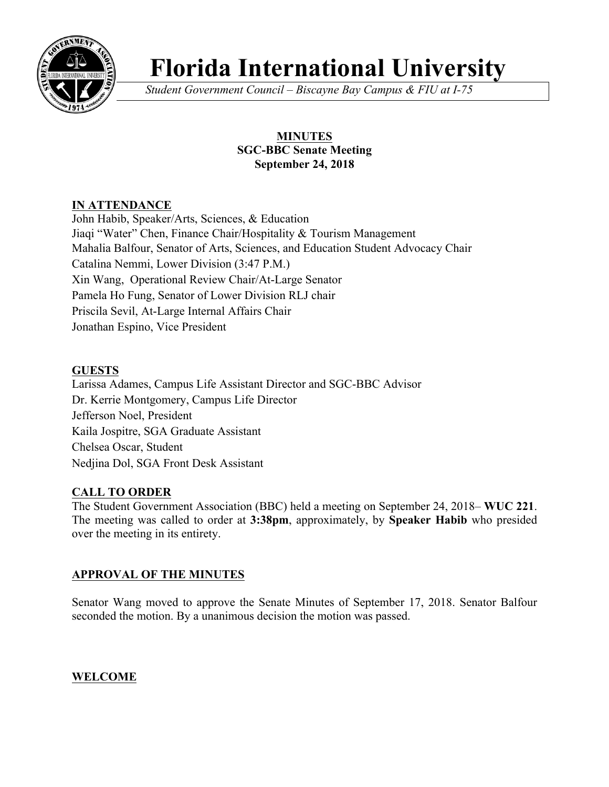

# **Florida International University**

*Student Government Council – Biscayne Bay Campus & FIU at I-75*

## **MINUTES SGC-BBC Senate Meeting September 24, 2018**

## **IN ATTENDANCE**

John Habib, Speaker/Arts, Sciences, & Education Jiaqi "Water" Chen, Finance Chair/Hospitality & Tourism Management Mahalia Balfour, Senator of Arts, Sciences, and Education Student Advocacy Chair Catalina Nemmi, Lower Division (3:47 P.M.) Xin Wang, Operational Review Chair/At-Large Senator Pamela Ho Fung, Senator of Lower Division RLJ chair Priscila Sevil, At-Large Internal Affairs Chair Jonathan Espino, Vice President

## **GUESTS**

Larissa Adames, Campus Life Assistant Director and SGC-BBC Advisor Dr. Kerrie Montgomery, Campus Life Director Jefferson Noel, President Kaila Jospitre, SGA Graduate Assistant Chelsea Oscar, Student Nedjina Dol, SGA Front Desk Assistant

## **CALL TO ORDER**

The Student Government Association (BBC) held a meeting on September 24, 2018– **WUC 221**. The meeting was called to order at **3:38pm**, approximately, by **Speaker Habib** who presided over the meeting in its entirety.

## **APPROVAL OF THE MINUTES**

Senator Wang moved to approve the Senate Minutes of September 17, 2018. Senator Balfour seconded the motion. By a unanimous decision the motion was passed.

# **WELCOME**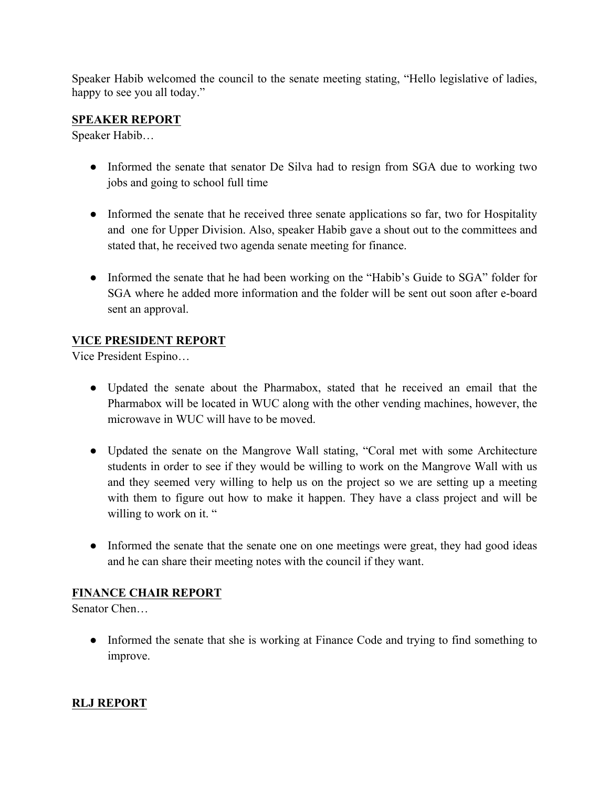Speaker Habib welcomed the council to the senate meeting stating, "Hello legislative of ladies, happy to see you all today."

## **SPEAKER REPORT**

Speaker Habib…

- Informed the senate that senator De Silva had to resign from SGA due to working two jobs and going to school full time
- Informed the senate that he received three senate applications so far, two for Hospitality and one for Upper Division. Also, speaker Habib gave a shout out to the committees and stated that, he received two agenda senate meeting for finance.
- Informed the senate that he had been working on the "Habib's Guide to SGA" folder for SGA where he added more information and the folder will be sent out soon after e-board sent an approval.

## **VICE PRESIDENT REPORT**

Vice President Espino…

- Updated the senate about the Pharmabox, stated that he received an email that the Pharmabox will be located in WUC along with the other vending machines, however, the microwave in WUC will have to be moved.
- Updated the senate on the Mangrove Wall stating, "Coral met with some Architecture students in order to see if they would be willing to work on the Mangrove Wall with us and they seemed very willing to help us on the project so we are setting up a meeting with them to figure out how to make it happen. They have a class project and will be willing to work on it. "
- Informed the senate that the senate one on one meetings were great, they had good ideas and he can share their meeting notes with the council if they want.

#### **FINANCE CHAIR REPORT**

Senator Chen…

● Informed the senate that she is working at Finance Code and trying to find something to improve.

## **RLJ REPORT**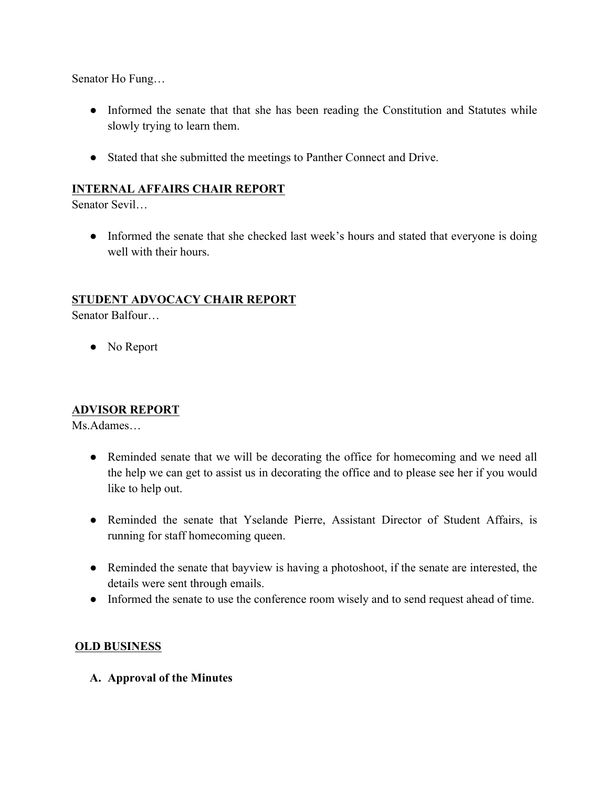Senator Ho Fung…

- Informed the senate that that she has been reading the Constitution and Statutes while slowly trying to learn them.
- Stated that she submitted the meetings to Panther Connect and Drive.

#### **INTERNAL AFFAIRS CHAIR REPORT**

Senator Sevil…

• Informed the senate that she checked last week's hours and stated that everyone is doing well with their hours.

#### **STUDENT ADVOCACY CHAIR REPORT**

Senator Balfour…

• No Report

#### **ADVISOR REPORT**

Ms.Adames…

- Reminded senate that we will be decorating the office for homecoming and we need all the help we can get to assist us in decorating the office and to please see her if you would like to help out.
- Reminded the senate that Yselande Pierre, Assistant Director of Student Affairs, is running for staff homecoming queen.
- Reminded the senate that bayview is having a photoshoot, if the senate are interested, the details were sent through emails.
- Informed the senate to use the conference room wisely and to send request ahead of time.

#### **OLD BUSINESS**

**A. Approval of the Minutes**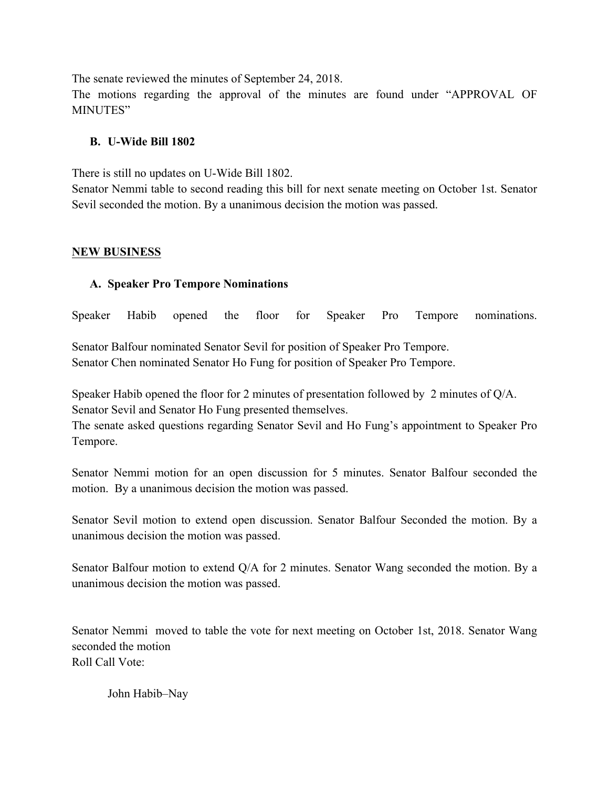The senate reviewed the minutes of September 24, 2018. The motions regarding the approval of the minutes are found under "APPROVAL OF MINUTES"

#### **B. U-Wide Bill 1802**

There is still no updates on U-Wide Bill 1802.

Senator Nemmi table to second reading this bill for next senate meeting on October 1st. Senator Sevil seconded the motion. By a unanimous decision the motion was passed.

#### **NEW BUSINESS**

#### **A. Speaker Pro Tempore Nominations**

Speaker Habib opened the floor for Speaker Pro Tempore nominations.

Senator Balfour nominated Senator Sevil for position of Speaker Pro Tempore. Senator Chen nominated Senator Ho Fung for position of Speaker Pro Tempore.

Speaker Habib opened the floor for 2 minutes of presentation followed by 2 minutes of Q/A. Senator Sevil and Senator Ho Fung presented themselves.

The senate asked questions regarding Senator Sevil and Ho Fung's appointment to Speaker Pro Tempore.

Senator Nemmi motion for an open discussion for 5 minutes. Senator Balfour seconded the motion. By a unanimous decision the motion was passed.

Senator Sevil motion to extend open discussion. Senator Balfour Seconded the motion. By a unanimous decision the motion was passed.

Senator Balfour motion to extend Q/A for 2 minutes. Senator Wang seconded the motion. By a unanimous decision the motion was passed.

Senator Nemmi moved to table the vote for next meeting on October 1st, 2018. Senator Wang seconded the motion Roll Call Vote:

John Habib–Nay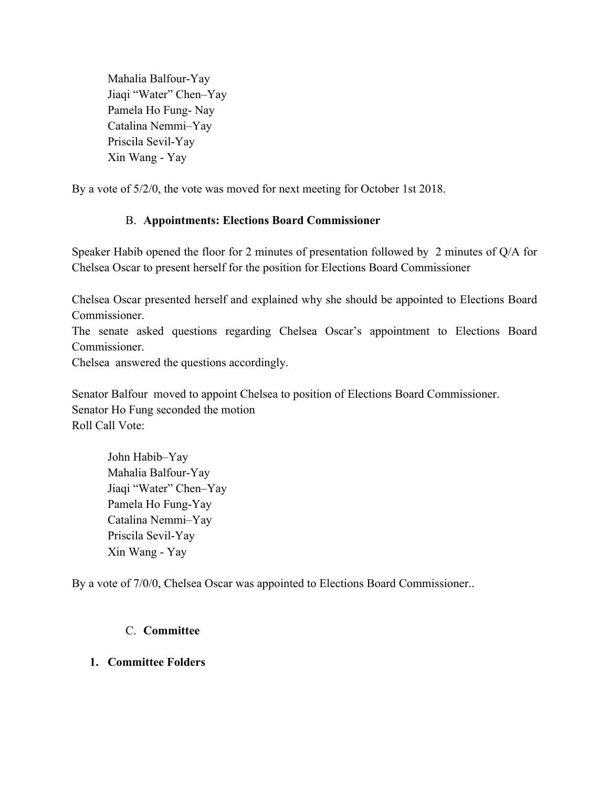Mahalia Balfour-Yay Jiaqi "Water" Chen–Yay Pamela Ho Fung- Nay Catalina Nemmi–Yay Priscila Sevil-Yay Xin Wang - Yay

By a vote of 5/2/0, the vote was moved for next meeting for October 1st 2018.

#### B. **Appointments: Elections Board Commissioner**

Speaker Habib opened the floor for 2 minutes of presentation followed by 2 minutes of Q/A for Chelsea Oscar to present herself for the position for Elections Board Commissioner

Chelsea Oscar presented herself and explained why she should be appointed to Elections Board **Commissioner** 

The senate asked questions regarding Chelsea Oscar's appointment to Elections Board Commissioner.

Chelsea answered the questions accordingly.

Senator Balfour moved to appoint Chelsea to position of Elections Board Commissioner. Senator Ho Fung seconded the motion Roll Call Vote:

John Habib–Yay Mahalia Balfour-Yay Jiaqi "Water" Chen–Yay Pamela Ho Fung-Yay Catalina Nemmi–Yay Priscila Sevil-Yay Xin Wang - Yay

By a vote of 7/0/0, Chelsea Oscar was appointed to Elections Board Commissioner..

#### C. **Committee**

#### **1. Committee Folders**